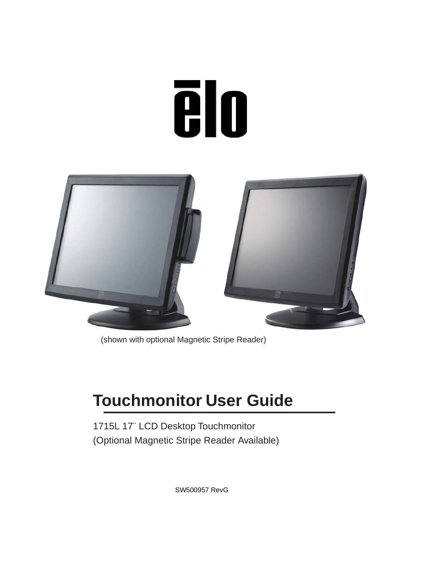# **Tilo**



(shown with optional Magnetic Stripe Reader)

# **Touchmonitor User Guide**

1715L 17¨ LCD Desktop Touchmonitor (Optional Magnetic Stripe Reader Available)

SW500957 RevG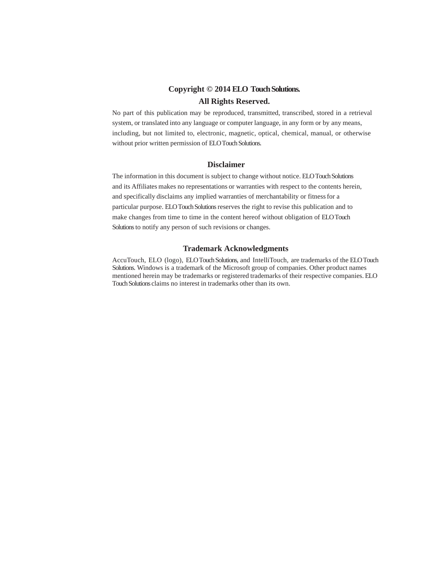#### **Copyright © 2014 ELO Touch Solutions.**

#### **All Rights Reserved.**

No part of this publication may be reproduced, transmitted, transcribed, stored in a retrieval system, or translated into any language or computer language, in any form or by any means, including, but not limited to, electronic, magnetic, optical, chemical, manual, or otherwise without prior written permission of ELO Touch Solutions.

#### **Disclaimer**

The information in this document is subject to change without notice. ELO Touch Solutions and its Affiliates makes no representations or warranties with respect to the contents herein, and specifically disclaims any implied warranties of merchantability or fitness for a particular purpose. ELO Touch Solutions reserves the right to revise this publication and to make changes from time to time in the content hereof without obligation of ELO Touch Solutions to notify any person of such revisions or changes.

#### **Trademark Acknowledgments**

AccuTouch, ELO (logo), ELO Touch Solutions, and IntelliTouch, are trademarks of the ELO Touch Solutions. Windows is a trademark of the Microsoft group of companies. Other product names mentioned herein may be trademarks or registered trademarks of their respective companies. ELO Touch Solutions claims no interest in trademarks other than its own.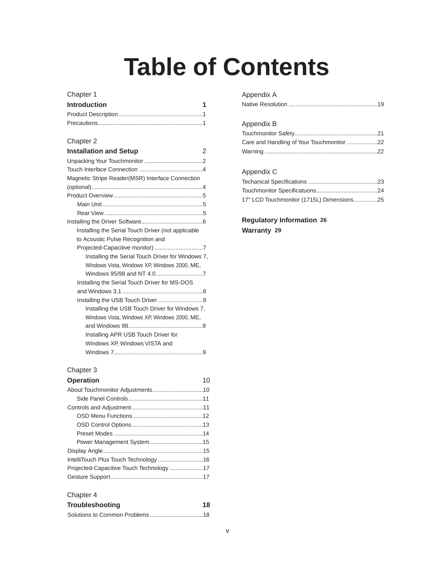# **Table of Contents**

#### Chapter 1

| <b>Introduction</b> | $\blacktriangleleft$ |
|---------------------|----------------------|
|                     |                      |
|                     |                      |

#### Chapter 2

| <b>Installation and Setup</b>                      | 2 |
|----------------------------------------------------|---|
|                                                    |   |
|                                                    |   |
| Magnetic Stripe Reader(MSR) Interface Connection   |   |
|                                                    |   |
|                                                    |   |
|                                                    |   |
|                                                    |   |
|                                                    |   |
| Installing the Serial Touch Driver (not applicable |   |
| to Acoustic Pulse Recognition and                  |   |
|                                                    |   |
| Installing the Serial Touch Driver for Windows 7,  |   |
| Windows Vista, Windows XP, Windows 2000, ME,       |   |
|                                                    |   |
| Installing the Serial Touch Driver for MS-DOS      |   |
|                                                    |   |
|                                                    |   |
| Installing the USB Touch Driver for Windows 7,     |   |
| Windows Vista, Windows XP, Windows 2000, ME,       |   |
|                                                    |   |
| Installing APR USB Touch Driver for                |   |
| Windows XP, Windows VISTA and                      |   |
|                                                    |   |
|                                                    |   |

#### Chapter 3

| <b>Operation</b>          | 10 |
|---------------------------|----|
|                           |    |
|                           |    |
|                           |    |
|                           |    |
|                           |    |
|                           |    |
| Power Management System15 |    |
|                           |    |
|                           |    |
|                           |    |
|                           |    |

#### Chapter 4

| <b>Troubleshooting</b> | 18 |
|------------------------|----|
|                        |    |

| Appendix A |
|------------|
|------------|

| . |  |  |  |
|---|--|--|--|
|   |  |  |  |
|   |  |  |  |

### Appendix B

| Care and Handling of Your Touchmonitor 22 |  |
|-------------------------------------------|--|
|                                           |  |

#### Appendix C

| 17" LCD Touchmonitor (1715L) Dimensions25 |  |
|-------------------------------------------|--|

**Regulatory Information 26 Warranty 29**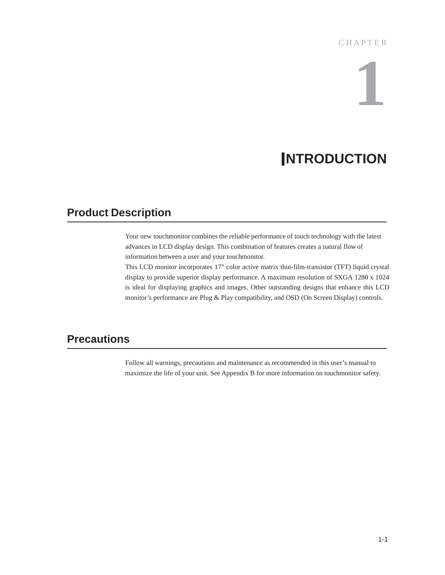#### **CHAPTER**

# **1**

# **INTRODUCTION**

## **Product Description**

Your new touchmonitor combines the reliable performance of touch technology with the latest advances in LCD display design. This combination of features creates a natural flow of information between a user and your touchmonitor.

This LCD monitor incorporates 17" color active matrix thin-film-transistor (TFT) liquid crystal display to provide superior display performance. A maximum resolution of SXGA 1280 x 1024 is ideal for displaying graphics and images. Other outstanding designs that enhance this LCD monitor's performance are Plug & Play compatibility, and OSD (On Screen Display) controls.

## **Precautions**

Follow all warnings, precautions and maintenance as recommended in this user's manual to maximize the life of your unit. See Appendix B for more information on touchmonitor safety.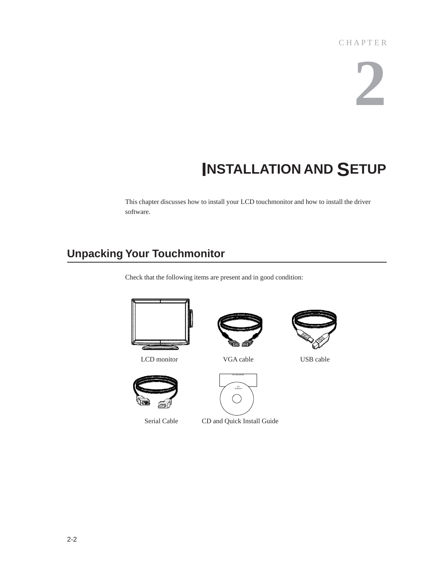# **2**

# **INSTALLATION AND SETUP**

This chapter discusses how to install your LCD touchmonitor and how to install the driver software.

## **Unpacking Your Touchmonitor**

Check that the following items are present and in good condition:



Serial Cable CD and Quick Install Guide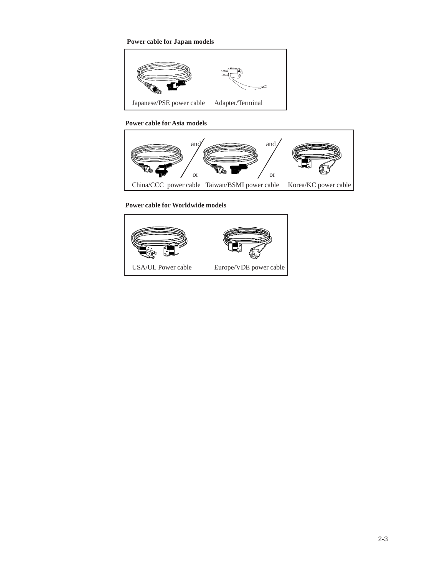**Power cable for Japan models**



**Power cable for Asia models**



**Power cable for Worldwide models**

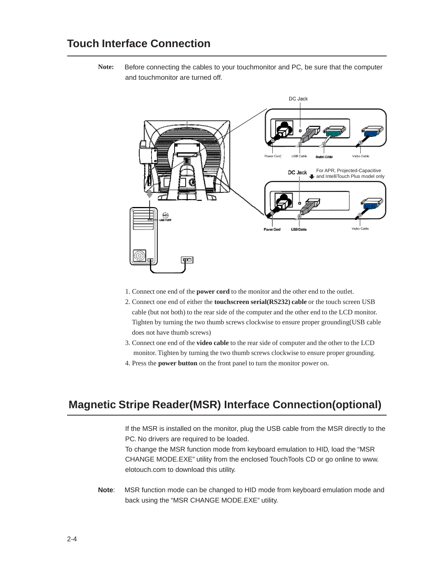**Note:** Before connecting the cables to your touchmonitor and PC, be sure that the computer and touchmonitor are turned off.



- 1. Connect one end of the **power cord** to the monitor and the other end to the outlet.
- 2. Connect one end of either the **touchscreen serial(RS232) cable** or the touch screen USB cable (but not both) to the rear side of the computer and the other end to the LCD monitor. Tighten by turning the two thumb screws clockwise to ensure proper grounding(USB cable does not have thumb screws)
- 3. Connect one end of the **video cable** to the rear side of computer and the other to the LCD monitor. Tighten by turning the two thumb screws clockwise to ensure proper grounding.
- 4. Press the **power button** on the front panel to turn the monitor power on.

## **Magnetic Stripe Reader(MSR) Interface Connection(optional)**

If the MSR is installed on the monitor, plug the USB cable from the MSR directly to the PC. No drivers are required to be loaded.

To change the MSR function mode from keyboard emulation to HID, load the "MSR CHANGE MODE.EXE" utility from the enclosed TouchTools CD or go online to www. elotouch.com to download this utility.

**Note**: MSR function mode can be changed to HID mode from keyboard emulation mode and back using the "MSR CHANGE MODE.EXE" utility.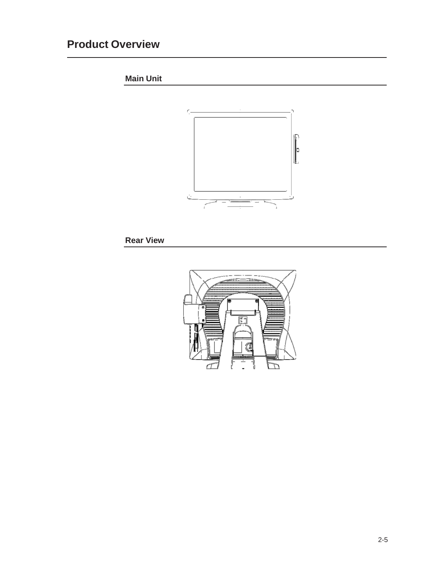# **Product Overview**

**Main Unit**



**Rear View**

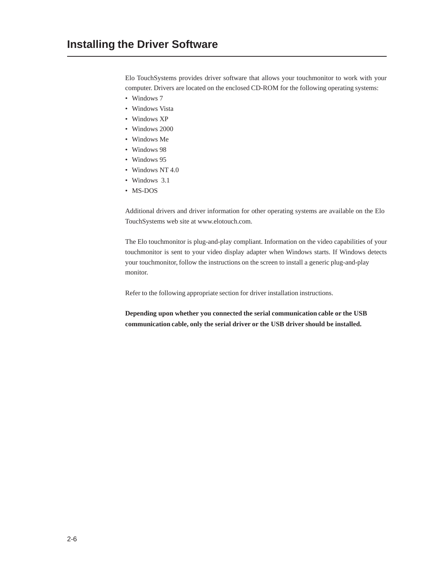Elo TouchSystems provides driver software that allows your touchmonitor to work with your computer. Drivers are located on the enclosed CD-ROM for the following operating systems:

- Windows 7
- Windows Vista
- Windows XP
- Windows 2000
- Windows Me
- Windows 98
- Windows 95
- Windows NT 4.0
- Windows 3.1
- MS-DOS

Additional drivers and driver information for other operating systems are available on the Elo TouchSystems web site at www.elotouch.com.

The Elo touchmonitor is plug-and-play compliant. Information on the video capabilities of your touchmonitor is sent to your video display adapter when Windows starts. If Windows detects your touchmonitor, follow the instructions on the screen to install a generic plug-and-play monitor.

Refer to the following appropriate section for driver installation instructions.

**Depending upon whether you connected the serial communication cable or the USB communication cable, only the serial driver or the USB driver should be installed.**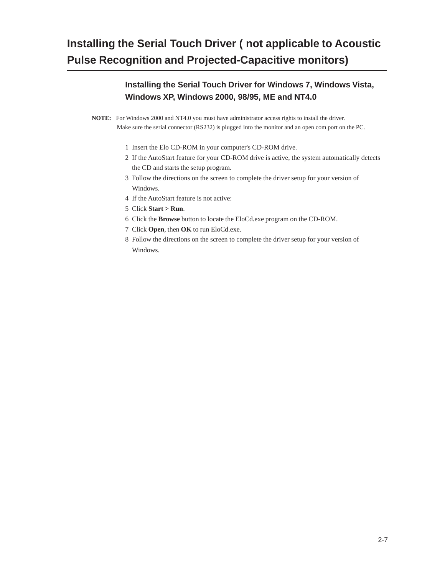# **Installing the Serial Touch Driver ( not applicable to Acoustic Pulse Recognition and Projected-Capacitive monitors)**

```
Installing the Serial Touch Driver for Windows 7, Windows Vista, 
Windows XP, Windows 2000, 98/95, ME and NT4.0
```
**NOTE:** For Windows 2000 and NT4.0 you must have administrator access rights to install the driver. Make sure the serial connector (RS232) is plugged into the monitor and an open com port on the PC.

- 1 Insert the Elo CD-ROM in your computer's CD-ROM drive.
- 2 If the AutoStart feature for your CD-ROM drive is active, the system automatically detects the CD and starts the setup program.
- 3 Follow the directions on the screen to complete the driver setup for your version of Windows.
- 4 If the AutoStart feature is not active:
- 5 Click **Start > Run**.
- 6 Click the **Browse** button to locate the EloCd.exe program on the CD-ROM.
- 7 Click **Open**, then **OK** to run EloCd.exe.
- 8 Follow the directions on the screen to complete the driver setup for your version of Windows.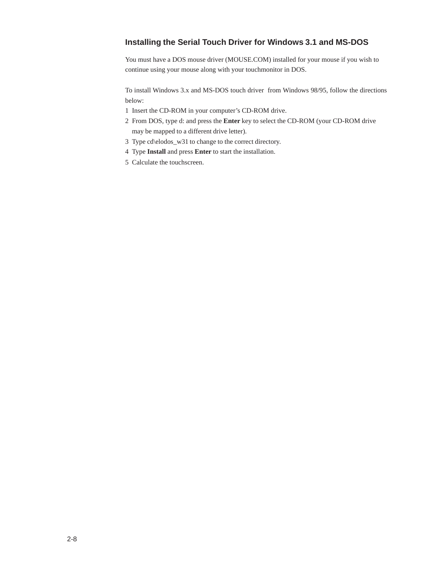## **Installing the Serial Touch Driver for Windows 3.1 and MS-DOS**

You must have a DOS mouse driver (MOUSE.COM) installed for your mouse if you wish to continue using your mouse along with your touchmonitor in DOS.

To install Windows 3.x and MS-DOS touch driver from Windows 98/95, follow the directions below:

- 1 Insert the CD-ROM in your computer's CD-ROM drive.
- 2 From DOS, type d: and press the **Enter** key to select the CD-ROM (your CD-ROM drive may be mapped to a different drive letter).
- 3 Type cd\elodos\_w31 to change to the correct directory.
- 4 Type **Install** and press **Enter** to start the installation.
- 5 Calculate the touchscreen.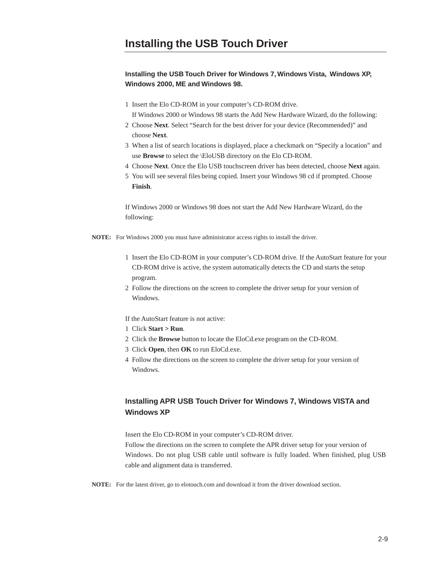#### **Installing the USB Touch Driver for Windows 7, Windows Vista, Windows XP, Windows 2000, ME and Windows 98.**

1 Insert the Elo CD-ROM in your computer's CD-ROM drive.

If Windows 2000 or Windows 98 starts the Add New Hardware Wizard, do the following:

- 2 Choose **Next**. Select "Search for the best driver for your device (Recommended)" and choose **Next**.
- 3 When a list of search locations is displayed, place a checkmark on "Specify a location" and use **Browse** to select the \EloUSB directory on the Elo CD-ROM.
- 4 Choose **Next**. Once the Elo USB touchscreen driver has been detected, choose **Next** again.
- 5 You will see several files being copied. Insert your Windows 98 cd if prompted. Choose **Finish**.

If Windows 2000 or Windows 98 does not start the Add New Hardware Wizard, do the following:

**NOTE:** For Windows 2000 you must have administrator access rights to install the driver.

- 1 Insert the Elo CD-ROM in your computer's CD-ROM drive. If the AutoStart feature for your CD-ROM drive is active, the system automatically detects the CD and starts the setup program.
- 2 Follow the directions on the screen to complete the driver setup for your version of Windows.

If the AutoStart feature is not active:

- 1 Click **Start > Run**.
- 2 Click the **Browse** button to locate the EloCd.exe program on the CD-ROM.
- 3 Click **Open**, then **OK** to run EloCd.exe.
- 4 Follow the directions on the screen to complete the driver setup for your version of Windows.

### **Installing APR USB Touch Driver for Windows 7, Windows VISTA and Windows XP**

Insert the Elo CD-ROM in your computer's CD-ROM driver.

Follow the directions on the screen to complete the APR driver setup for your version of Windows. Do not plug USB cable until software is fully loaded. When finished, plug USB cable and alignment data is transferred.

**NOTE:** For the latest driver, go to elotouch.com and download it from the driver download section.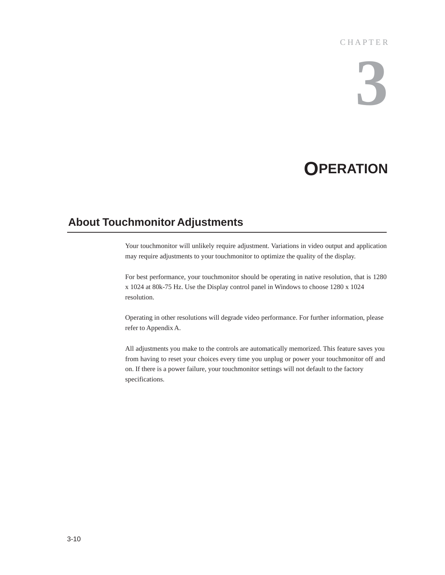### **CHAPTER**

# **3**

# **OPERATION**

## **About Touchmonitor Adjustments**

Your touchmonitor will unlikely require adjustment. Variations in video output and application may require adjustments to your touchmonitor to optimize the quality of the display.

For best performance, your touchmonitor should be operating in native resolution, that is 1280 x 1024 at 80k-75 Hz. Use the Display control panel in Windows to choose 1280 x 1024 resolution.

Operating in other resolutions will degrade video performance. For further information, please refer to Appendix A.

All adjustments you make to the controls are automatically memorized. This feature saves you from having to reset your choices every time you unplug or power your touchmonitor off and on. If there is a power failure, your touchmonitor settings will not default to the factory specifications.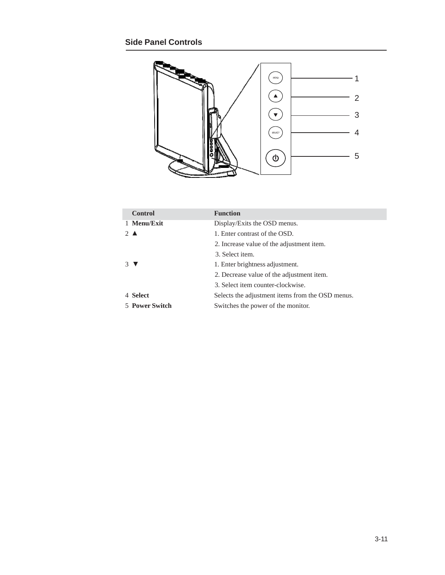

| <b>Control</b> | <b>Function</b>                                  |
|----------------|--------------------------------------------------|
| 1 Menu/Exit    | Display/Exits the OSD menus.                     |
| $2 \triangle$  | 1. Enter contrast of the OSD.                    |
|                | 2. Increase value of the adjustment item.        |
|                | 3. Select item.                                  |
| 3 V            | 1. Enter brightness adjustment.                  |
|                | 2. Decrease value of the adjustment item.        |
|                | 3. Select item counter-clockwise.                |
| 4 Select       | Selects the adjustment items from the OSD menus. |
| 5 Power Switch | Switches the power of the monitor.               |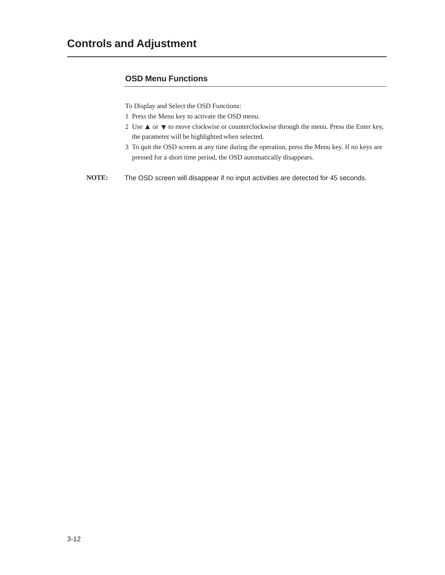## **OSD Menu Functions**

To Display and Select the OSD Functions:

- 1 Press the Menu key to activate the OSD menu.
- 2 Use  $\blacktriangle$  or  $\nabla$  to move clockwise or counterclockwise through the menu. Press the Enter key, the parameter will be highlighted when selected.
- 3 To quit the OSD screen at any time during the operation, press the Menu key. If no keys are pressed for a short time period, the OSD automatically disappears.

**NOTE:** The OSD screen will disappear if no input activities are detected for 45 seconds.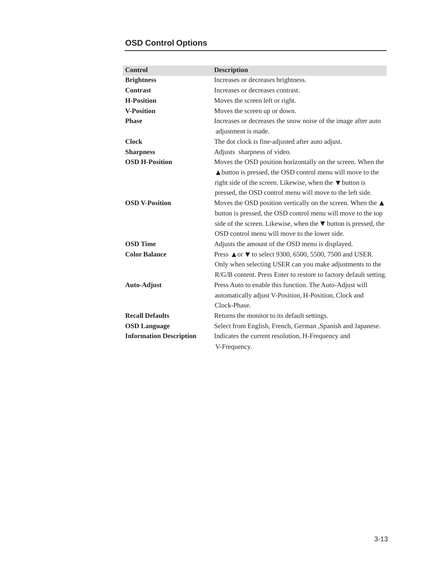## **OSD Control Options**

| <b>Control</b>                 | <b>Description</b>                                                                                                                                                                                                                                               |
|--------------------------------|------------------------------------------------------------------------------------------------------------------------------------------------------------------------------------------------------------------------------------------------------------------|
| <b>Brightness</b>              | Increases or decreases brightness.                                                                                                                                                                                                                               |
| <b>Contrast</b>                | Increases or decreases contrast.                                                                                                                                                                                                                                 |
| <b>H-Position</b>              | Moves the screen left or right.                                                                                                                                                                                                                                  |
| <b>V-Position</b>              | Moves the screen up or down.                                                                                                                                                                                                                                     |
| <b>Phase</b>                   | Increases or decreases the snow noise of the image after auto<br>adjustment is made.                                                                                                                                                                             |
| <b>Clock</b>                   | The dot clock is fine-adjusted after auto adjust.                                                                                                                                                                                                                |
| <b>Sharpness</b>               | Adjusts sharpness of video.                                                                                                                                                                                                                                      |
| <b>OSD H-Position</b>          | Moves the OSD position horizontally on the screen. When the<br><b>△</b> button is pressed, the OSD control menu will move to the<br>right side of the screen. Likewise, when the $\nabla$ button is<br>pressed, the OSD control menu will move to the left side. |
| <b>OSD V-Position</b>          | Moves the OSD position vertically on the screen. When the $\triangle$<br>button is pressed, the OSD control menu will move to the top<br>side of the screen. Likewise, when the $\nabla$ button is pressed, the<br>OSD control menu will move to the lower side. |
| <b>OSD</b> Time                | Adjusts the amount of the OSD menu is displayed.                                                                                                                                                                                                                 |
| <b>Color Balance</b>           | Press <b>△</b> or ▼ to select 9300, 6500, 5500, 7500 and USER.<br>Only when selecting USER can you make adjustments to the<br>R/G/B content. Press Enter to restore to factory default setting.                                                                  |
| <b>Auto-Adjust</b>             | Press Auto to enable this function. The Auto-Adjust will<br>automatically adjust V-Position, H-Position, Clock and<br>Clock-Phase.                                                                                                                               |
| <b>Recall Defaults</b>         | Returns the monitor to its default settings.                                                                                                                                                                                                                     |
| <b>OSD Language</b>            | Select from English, French, German , Spanish and Japanese.                                                                                                                                                                                                      |
| <b>Information Description</b> | Indicates the current resolution, H-Frequency and<br>V-Frequency.                                                                                                                                                                                                |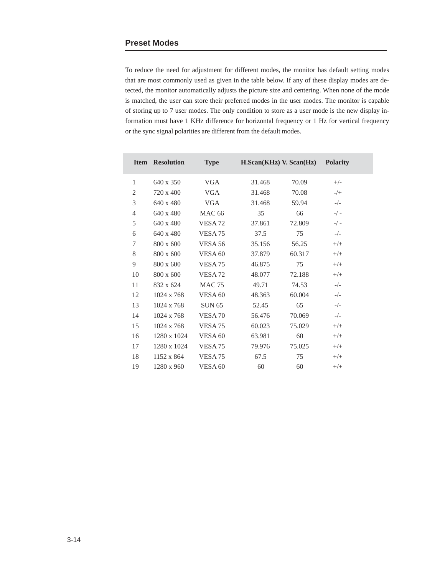To reduce the need for adjustment for different modes, the monitor has default setting modes that are most commonly used as given in the table below. If any of these display modes are detected, the monitor automatically adjusts the picture size and centering. When none of the mode is matched, the user can store their preferred modes in the user modes. The monitor is capable of storing up to 7 user modes. The only condition to store as a user mode is the new display information must have 1 KHz difference for horizontal frequency or 1 Hz for vertical frequency or the sync signal polarities are different from the default modes.

| <b>Item</b>    | <b>Resolution</b> | <b>Type</b>        | $H.Scan(KHz)$ V. $Scan(Hz)$ |        | <b>Polarity</b> |  |
|----------------|-------------------|--------------------|-----------------------------|--------|-----------------|--|
| $\mathbf{1}$   | $640 \times 350$  | <b>VGA</b>         | 31.468                      | 70.09  | $+/-$           |  |
| 2              | $720 \times 400$  | <b>VGA</b>         | 31.468                      | 70.08  | $-/+$           |  |
| 3              | $640 \times 480$  | <b>VGA</b>         | 31.468                      | 59.94  | $-/-$           |  |
| $\overline{4}$ | 640 x 480         | <b>MAC 66</b>      | 35                          | 66     | $-/-$           |  |
| 5              | 640 x 480         | VESA <sub>72</sub> | 37.861                      | 72.809 | $-/-$           |  |
| 6              | 640 x 480         | VESA <sub>75</sub> | 37.5                        | 75     | $-/-$           |  |
| 7              | 800 x 600         | VESA 56            | 35.156                      | 56.25  | $+/+$           |  |
| 8              | 800 x 600         | VESA <sub>60</sub> | 37.879                      | 60.317 | $+/+$           |  |
| 9              | $800 \times 600$  | VESA <sub>75</sub> | 46.875                      | 75     | $+/+$           |  |
| 10             | 800 x 600         | VESA <sub>72</sub> | 48.077                      | 72.188 | $+/+$           |  |
| 11             | 832 x 624         | <b>MAC 75</b>      | 49.71                       | 74.53  | $-/-$           |  |
| 12             | 1024 x 768        | VESA 60            | 48.363                      | 60.004 | $-/-$           |  |
| 13             | 1024 x 768        | <b>SUN 65</b>      | 52.45                       | 65     | $-/-$           |  |
| 14             | 1024 x 768        | VESA <sub>70</sub> | 56.476                      | 70.069 | $-/-$           |  |
| 15             | 1024 x 768        | VESA <sub>75</sub> | 60.023                      | 75.029 | $+/+$           |  |
| 16             | 1280 x 1024       | VESA <sub>60</sub> | 63.981                      | 60     | $+/+$           |  |
| 17             | 1280 x 1024       | VESA <sub>75</sub> | 79.976                      | 75.025 | $+/+$           |  |
| 18             | 1152 x 864        | VESA <sub>75</sub> | 67.5                        | 75     | $+/+$           |  |
| 19             | 1280 x 960        | VESA <sub>60</sub> | 60                          | 60     | $+/+$           |  |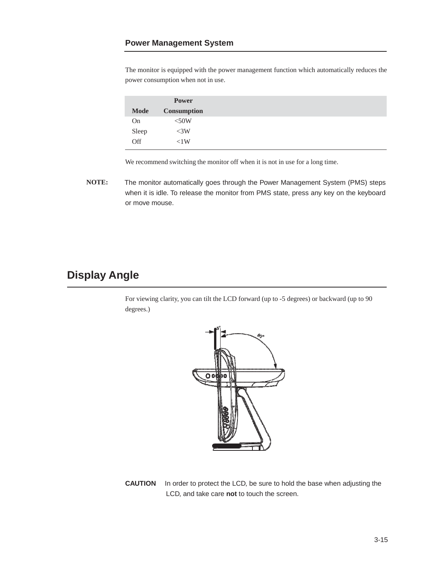The monitor is equipped with the power management function which automatically reduces the power consumption when not in use.

|             | <b>Power</b>       |
|-------------|--------------------|
| <b>Mode</b> | <b>Consumption</b> |
| On          | $<$ 50W            |
| Sleep       | <3W                |
| Off         | < 1 W              |

We recommend switching the monitor off when it is not in use for a long time.

**NOTE:** The monitor automatically goes through the Power Management System (PMS) steps when it is idle. To release the monitor from PMS state, press any key on the keyboard or move mouse.

## **Display Angle**

For viewing clarity, you can tilt the LCD forward (up to -5 degrees) or backward (up to 90 degrees.)



**CAUTION** In order to protect the LCD, be sure to hold the base when adjusting the LCD, and take care **not** to touch the screen.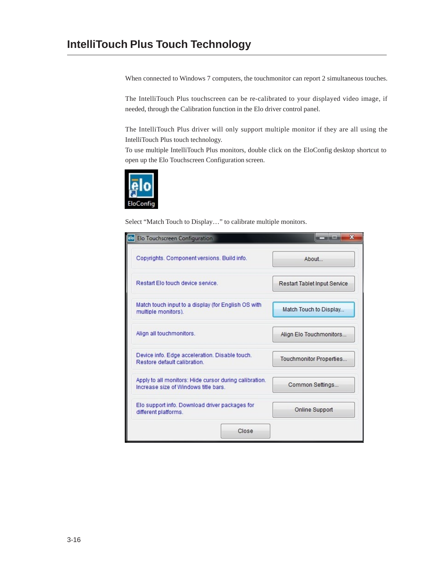When connected to Windows 7 computers, the touchmonitor can report 2 simultaneous touches.

The IntelliTouch Plus touchscreen can be re-calibrated to your displayed video image, if needed, through the Calibration function in the Elo driver control panel.

The IntelliTouch Plus driver will only support multiple monitor if they are all using the IntelliTouch Plus touch technology.

To use multiple IntelliTouch Plus monitors, double click on the EloConfig desktop shortcut to open up the Elo Touchscreen Configuration screen.



Select "Match Touch to Display…" to calibrate multiple monitors.

| ēloļ<br>Elo Touchscreen Configuration                                                          | $\mathbf{x}$                 |  |
|------------------------------------------------------------------------------------------------|------------------------------|--|
| Copyrights, Component versions, Build info.                                                    | About                        |  |
| Restart Flo touch device service                                                               | Restart Tablet Input Service |  |
| Match touch input to a display (for English OS with<br>multiple monitors).                     | Match Touch to Display       |  |
| Align all touchmonitors.                                                                       | Align Elo Touchmonitors      |  |
| Device info. Edge acceleration. Disable touch.<br>Restore default calibration                  | Touchmonitor Properties      |  |
| Apply to all monitors: Hide cursor during calibration.<br>Increase size of Windows title bars. | Common Settings              |  |
| Elo support info. Download driver packages for<br>different platforms.                         | Online Support               |  |
| Close                                                                                          |                              |  |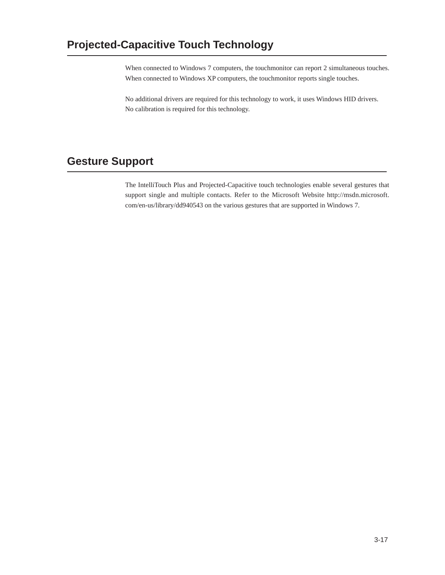When connected to Windows 7 computers, the touchmonitor can report 2 simultaneous touches. When connected to Windows XP computers, the touchmonitor reports single touches.

No additional drivers are required for this technology to work, it uses Windows HID drivers. No calibration is required for this technology.

## **Gesture Support**

The IntelliTouch Plus and Projected-Capacitive touch technologies enable several gestures that support single and multiple contacts. Refer to the Microsoft Website http://msdn.microsoft. com/en-us/library/dd940543 on the various gestures that are supported in Windows 7.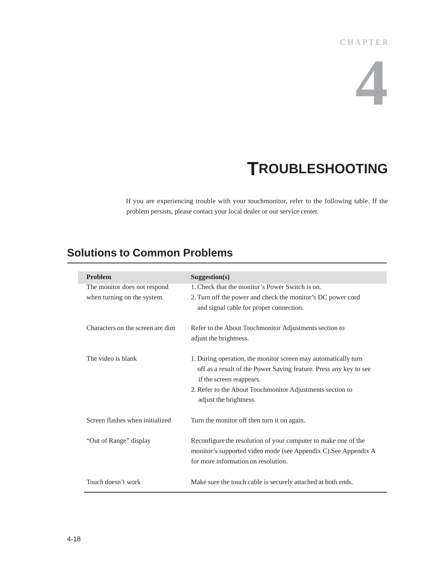# **4**

# **TROUBLESHOOTING**

If you are experiencing trouble with your touchmonitor, refer to the following table. If the problem persists, please contact your local dealer or our service center.

## **Solutions to Common Problems**

| <b>Problem</b>                   | Suggestion(s)                                                                                 |
|----------------------------------|-----------------------------------------------------------------------------------------------|
| The monitor does not respond     | 1. Check that the monitor's Power Switch is on.                                               |
| when turning on the system.      | 2. Turn off the power and check the monitor's DC power cord                                   |
|                                  | and signal cable for proper connection.                                                       |
| Characters on the screen are dim | Refer to the About Touchmonitor Adjustments section to                                        |
|                                  | adjust the brightness.                                                                        |
| The video is blank               | 1. During operation, the monitor screen may automatically turn                                |
|                                  | off as a result of the Power Saving feature. Press any key to see<br>if the screen reappears. |
|                                  | 2. Refer to the About Touchmonitor Adjustments section to                                     |
|                                  | adjust the brightness.                                                                        |
| Screen flashes when initialized  | Turn the monitor off then turn it on again.                                                   |
| "Out of Range" display           | Reconfigure the resolution of your computer to make one of the                                |
|                                  | monitor's supported video mode (see Appendix C). See Appendix A                               |
|                                  | for more information on resolution.                                                           |
| Touch doesn't work               | Make sure the touch cable is securely attached at both ends.                                  |

I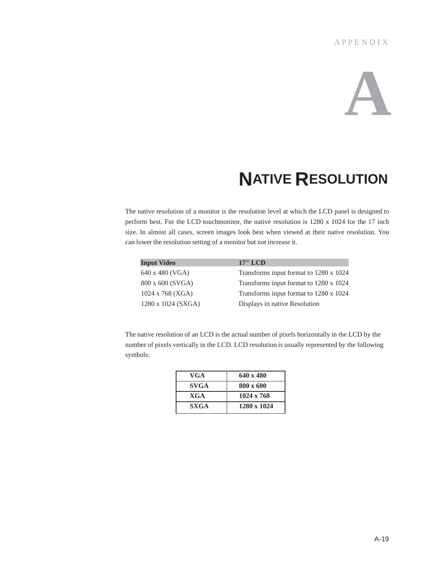### **A P P E N D I X**

# **A**

# **NATIVE RESOLUTION**

The native resolution of a monitor is the resolution level at which the LCD panel is designed to perform best. For the LCD touchmonitor, the native resolution is 1280 x 1024 for the 17 inch size. In almost all cases, screen images look best when viewed at their native resolution. You can lower the resolution setting of a monitor but not increase it.

| <b>Input Video</b>        | $17"$ LCD                              |
|---------------------------|----------------------------------------|
| 640 x 480 (VGA)           | Transforms input format to 1280 x 1024 |
| 800 x 600 (SVGA)          | Transforms input format to 1280 x 1024 |
| $1024 \times 768$ (XGA)   | Transforms input format to 1280 x 1024 |
| $1280 \times 1024$ (SXGA) | Displays in native Resolution          |

The native resolution of an LCD is the actual number of pixels horizontally in the LCD by the number of pixels vertically in the LCD. LCD resolution is usually represented by the following symbols:

| VGA         | $640 \times 480$  |
|-------------|-------------------|
| <b>SVGA</b> | $800 \times 600$  |
| XGA         | $1024 \times 768$ |
| <b>SXGA</b> | 1280 x 1024       |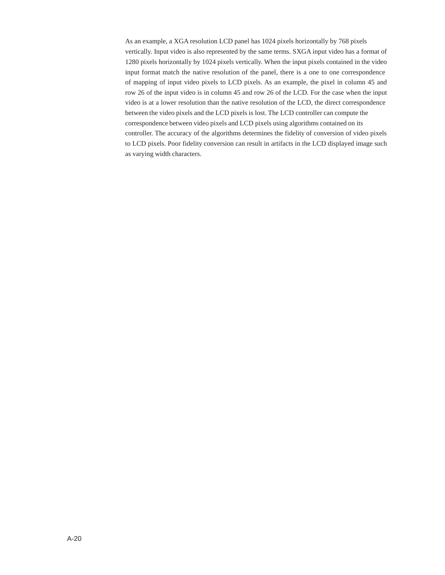As an example, a XGA resolution LCD panel has 1024 pixels horizontally by 768 pixels vertically. Input video is also represented by the same terms. SXGA input video has a format of 1280 pixels horizontally by 1024 pixels vertically. When the input pixels contained in the video input format match the native resolution of the panel, there is a one to one correspondence of mapping of input video pixels to LCD pixels. As an example, the pixel in column 45 and row 26 of the input video is in column 45 and row 26 of the LCD. For the case when the input video is at a lower resolution than the native resolution of the LCD, the direct correspondence between the video pixels and the LCD pixels is lost. The LCD controller can compute the correspondence between video pixels and LCD pixels using algorithms contained on its controller. The accuracy of the algorithms determines the fidelity of conversion of video pixels to LCD pixels. Poor fidelity conversion can result in artifacts in the LCD displayed image such as varying width characters.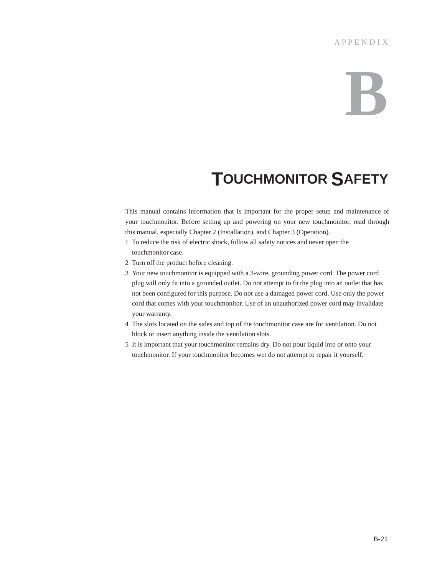### **A P P E N D I X**

# **B**

# **TOUCHMONITOR SAFETY**

This manual contains information that is important for the proper setup and maintenance of your touchmonitor. Before setting up and powering on your new touchmonitor, read through this manual, especially Chapter 2 (Installation), and Chapter 3 (Operation).

- 1 To reduce the risk of electric shock, follow all safety notices and never open the touchmonitor case.
- 2 Turn off the product before cleaning.
- 3 Your new touchmonitor is equipped with a 3-wire, grounding power cord. The power cord plug will only fit into a grounded outlet. Do not attempt to fit the plug into an outlet that has not been configured for this purpose. Do not use a damaged power cord. Use only the power cord that comes with your touchmonitor. Use of an unauthorized power cord may invalidate your warranty.
- 4 The slots located on the sides and top of the touchmonitor case are for ventilation. Do not block or insert anything inside the ventilation slots.
- 5 It is important that your touchmonitor remains dry. Do not pour liquid into or onto your touchmonitor. If your touchmonitor becomes wet do not attempt to repair it yourself.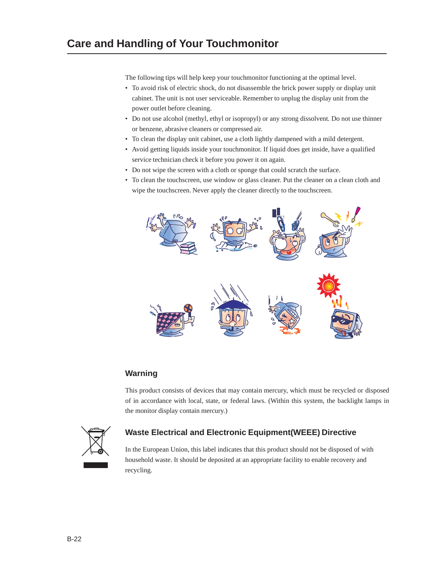The following tips will help keep your touchmonitor functioning at the optimal level.

- To avoid risk of electric shock, do not disassemble the brick power supply or display unit cabinet. The unit is not user serviceable. Remember to unplug the display unit from the power outlet before cleaning.
- Do not use alcohol (methyl, ethyl or isopropyl) or any strong dissolvent. Do not use thinner or benzene, abrasive cleaners or compressed air.
- To clean the display unit cabinet, use a cloth lightly dampened with a mild detergent.
- Avoid getting liquids inside your touchmonitor. If liquid does get inside, have a qualified service technician check it before you power it on again.
- Do not wipe the screen with a cloth or sponge that could scratch the surface.
- To clean the touchscreen, use window or glass cleaner. Put the cleaner on a clean cloth and wipe the touchscreen. Never apply the cleaner directly to the touchscreen.



### **Warning**

This product consists of devices that may contain mercury, which must be recycled or disposed of in accordance with local, state, or federal laws. (Within this system, the backlight lamps in the monitor display contain mercury.)



### **Waste Electrical and Electronic Equipment(WEEE) Directive**

In the European Union, this label indicates that this product should not be disposed of with household waste. It should be deposited at an appropriate facility to enable recovery and recycling.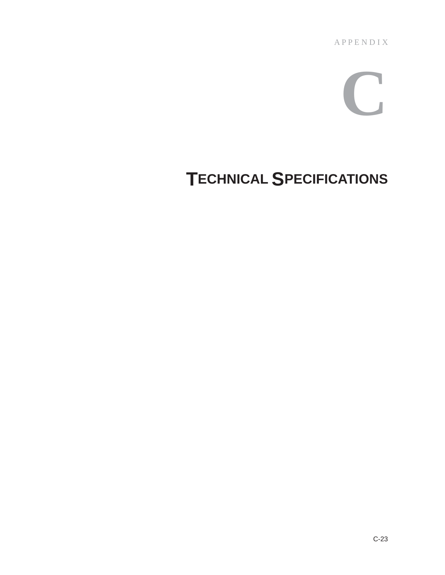A P P E N D I X

# **C**

# **TECHNICAL SPECIFICATIONS**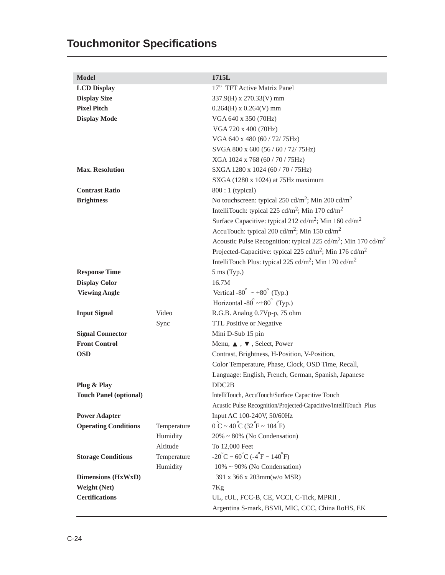# **Touchmonitor Specifications**

| <b>Model</b>                  |             | 1715L                                                                                 |
|-------------------------------|-------------|---------------------------------------------------------------------------------------|
| <b>LCD Display</b>            |             | 17" TFT Active Matrix Panel                                                           |
| <b>Display Size</b>           |             | 337.9(H) x 270.33(V) mm                                                               |
| <b>Pixel Pitch</b>            |             | $0.264(H)$ x $0.264(V)$ mm                                                            |
| <b>Display Mode</b>           |             | VGA 640 x 350 (70Hz)                                                                  |
|                               |             | VGA 720 x 400 (70Hz)                                                                  |
|                               |             | VGA 640 x 480 (60 / 72/ 75Hz)                                                         |
|                               |             | SVGA 800 x 600 (56 / 60 / 72/ 75Hz)                                                   |
|                               |             | XGA 1024 x 768 (60 / 70 / 75Hz)                                                       |
| <b>Max. Resolution</b>        |             | SXGA 1280 x 1024 (60 / 70 / 75Hz)                                                     |
|                               |             | $SKGA$ (1280 x 1024) at 75Hz maximum                                                  |
| <b>Contrast Ratio</b>         |             | 800 : 1 (typical)                                                                     |
| <b>Brightness</b>             |             | No touchscreen: typical 250 cd/m <sup>2</sup> ; Min 200 cd/m <sup>2</sup>             |
|                               |             | IntelliTouch: typical 225 cd/m <sup>2</sup> ; Min 170 cd/m <sup>2</sup>               |
|                               |             | Surface Capacitive: typical 212 cd/m <sup>2</sup> ; Min 160 cd/m <sup>2</sup>         |
|                               |             | AccuTouch: typical 200 cd/m <sup>2</sup> ; Min 150 cd/m <sup>2</sup>                  |
|                               |             | Acoustic Pulse Recognition: typical 225 cd/m <sup>2</sup> ; Min 170 cd/m <sup>2</sup> |
|                               |             | Projected-Capacitive: typical 225 cd/m <sup>2</sup> ; Min 176 cd/m <sup>2</sup>       |
|                               |             | IntelliTouch Plus: typical 225 cd/m <sup>2</sup> ; Min 170 cd/m <sup>2</sup>          |
| <b>Response Time</b>          |             | $5 \text{ ms (Typ.)}$                                                                 |
| <b>Display Color</b>          |             | 16.7M                                                                                 |
| <b>Viewing Angle</b>          |             | Vertical -80° $\sim$ +80° (Typ.)                                                      |
|                               |             | Horizontal -80 $\degree$ ~+80 $\degree$ (Typ.)                                        |
| <b>Input Signal</b>           | Video       | R.G.B. Analog 0.7Vp-p, 75 ohm                                                         |
|                               | Sync        | TTL Positive or Negative                                                              |
| <b>Signal Connector</b>       |             | Mini D-Sub 15 pin                                                                     |
| <b>Front Control</b>          |             | Menu, $\blacktriangle$ , $\blacktriangledown$ , Select, Power                         |
| <b>OSD</b>                    |             | Contrast, Brightness, H-Position, V-Position,                                         |
|                               |             | Color Temperature, Phase, Clock, OSD Time, Recall,                                    |
|                               |             | Language: English, French, German, Spanish, Japanese                                  |
| Plug & Play                   |             | DDC2B                                                                                 |
| <b>Touch Panel (optional)</b> |             | IntelliTouch, AccuTouch/Surface Capacitive Touch                                      |
|                               |             | Acustic Pulse Recognition/Projected-Capacitive/IntelliTouch Plus                      |
| <b>Power Adapter</b>          |             | Input AC 100-240V, 50/60Hz                                                            |
| <b>Operating Conditions</b>   | Temperature | $0^{\circ}C \sim 40^{\circ}C (32^{\circ}F \sim 104^{\circ}F)$                         |
|                               | Humidity    | $20\% \sim 80\%$ (No Condensation)                                                    |
|                               | Altitude    | To 12,000 Feet                                                                        |
| <b>Storage Conditions</b>     | Temperature | $-20^{\circ}$ C ~ 60 $^{\circ}$ C ( $-4^{\circ}$ F ~ 140 $^{\circ}$ F)                |
|                               | Humidity    | $10\% \sim 90\%$ (No Condensation)                                                    |
| <b>Dimensions (HxWxD)</b>     |             | 391 x 366 x 203mm(w/o MSR)                                                            |
| <b>Weight (Net)</b>           |             | 7Kg                                                                                   |
| <b>Certifications</b>         |             | UL, cUL, FCC-B, CE, VCCI, C-Tick, MPRII,                                              |
|                               |             | Argentina S-mark, BSMI, MIC, CCC, China RoHS, EK                                      |
|                               |             |                                                                                       |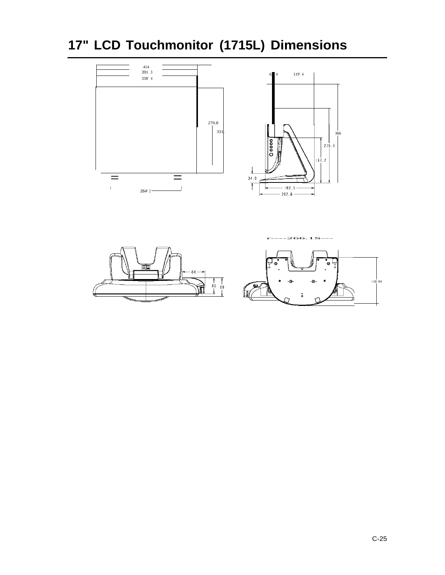**17" LCD Touchmonitor (1715L) Dimensions**



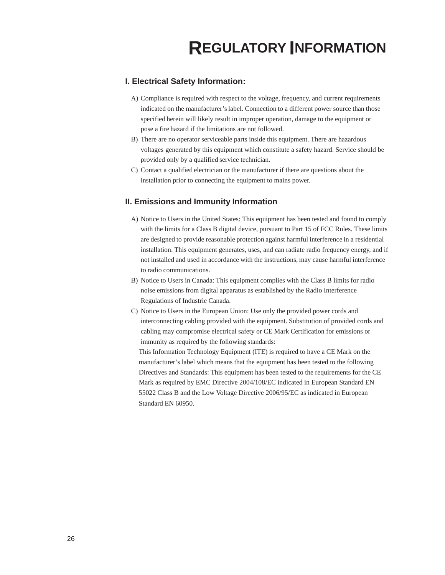### **I. Electrical Safety Information:**

- A) Compliance is required with respect to the voltage, frequency, and current requirements indicated on the manufacturer's label. Connection to a different power source than those specified herein will likely result in improper operation, damage to the equipment or pose a fire hazard if the limitations are not followed.
- B) There are no operator serviceable parts inside this equipment. There are hazardous voltages generated by this equipment which constitute a safety hazard. Service should be provided only by a qualified service technician.
- C) Contact a qualified electrician or the manufacturer if there are questions about the installation prior to connecting the equipment to mains power.

#### **II. Emissions and Immunity Information**

- A) Notice to Users in the United States: This equipment has been tested and found to comply with the limits for a Class B digital device, pursuant to Part 15 of FCC Rules. These limits are designed to provide reasonable protection against harmful interference in a residential installation. This equipment generates, uses, and can radiate radio frequency energy, and if not installed and used in accordance with the instructions, may cause harmful interference to radio communications.
- B) Notice to Users in Canada: This equipment complies with the Class B limits for radio noise emissions from digital apparatus as established by the Radio Interference Regulations of Industrie Canada.
- C) Notice to Users in the European Union: Use only the provided power cords and interconnecting cabling provided with the equipment. Substitution of provided cords and cabling may compromise electrical safety or CE Mark Certification for emissions or immunity as required by the following standards:

This Information Technology Equipment (ITE) is required to have a CE Mark on the manufacturer's label which means that the equipment has been tested to the following Directives and Standards: This equipment has been tested to the requirements for the CE Mark as required by EMC Directive 2004/108/EC indicated in European Standard EN 55022 Class B and the Low Voltage Directive 2006/95/EC as indicated in European Standard EN 60950.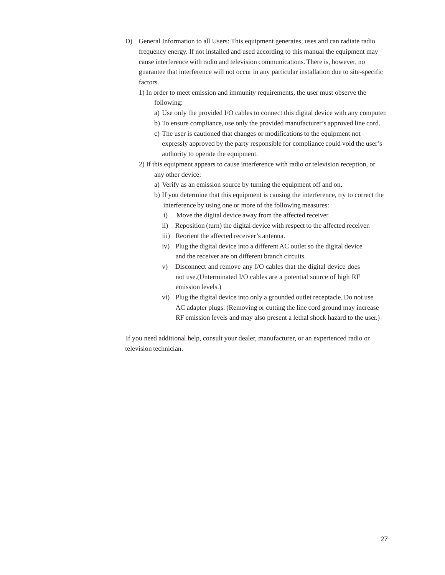- D) General Information to all Users: This equipment generates, uses and can radiate radio frequency energy. If not installed and used according to this manual the equipment may cause interference with radio and television communications. There is, however, no guarantee that interference will not occur in any particular installation due to site-specific factors.
	- 1) In order to meet emission and immunity requirements, the user must observe the following:
		- a) Use only the provided I/O cables to connect this digital device with any computer.
		- b) To ensure compliance, use only the provided manufacturer's approved line cord.
		- c) The user is cautioned that changes or modifications to the equipment not expressly approved by the party responsible for compliance could void the user's authority to operate the equipment.
	- 2) If this equipment appears to cause interference with radio or television reception, or any other device:
		- a) Verify as an emission source by turning the equipment off and on.
		- b) If you determine that this equipment is causing the interference, try to correct the interference by using one or more of the following measures:
			- i) Move the digital device away from the affected receiver.
			- ii) Reposition (turn) the digital device with respect to the affected receiver.
			- iii) Reorient the affected receiver's antenna.
			- iv) Plug the digital device into a different AC outlet so the digital device and the receiver are on different branch circuits.
			- v) Disconnect and remove any I/O cables that the digital device does not use.(Unterminated I/O cables are a potential source of high RF emission levels.)
			- vi) Plug the digital device into only a grounded outlet receptacle. Do not use AC adapter plugs. (Removing or cutting the line cord ground may increase RF emission levels and may also present a lethal shock hazard to the user.)

If you need additional help, consult your dealer, manufacturer, or an experienced radio or television technician.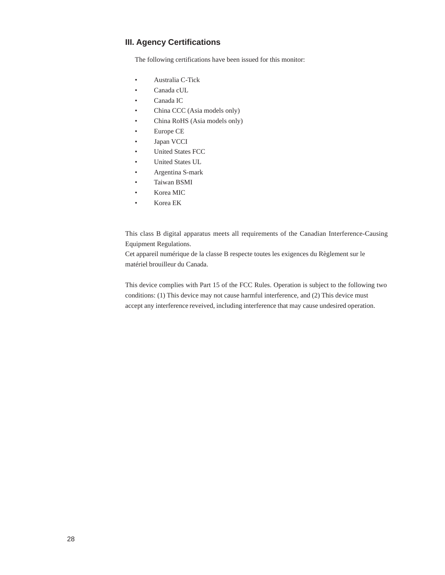#### **III. Agency Certifications**

The following certifications have been issued for this monitor:

- Australia C-Tick
- Canada cUL
- Canada IC
- China CCC (Asia models only)
- China RoHS (Asia models only)
- Europe CE
- Japan VCCI
- United States FCC
- United States UL
- Argentina S-mark
- Taiwan BSMI
- Korea MIC
- Korea EK

This class B digital apparatus meets all requirements of the Canadian Interference-Causing Equipment Regulations.

Cet appareil numérique de la classe B respecte toutes les exigences du Règlement sur le matériel brouilleur du Canada.

This device complies with Part 15 of the FCC Rules. Operation is subject to the following two conditions: (1) This device may not cause harmful interference, and (2) This device must accept any interference reveived, including interference that may cause undesired operation.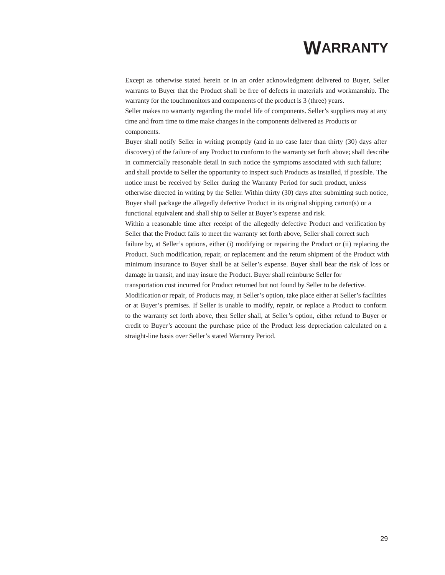# **WARRANTY**

Except as otherwise stated herein or in an order acknowledgment delivered to Buyer, Seller warrants to Buyer that the Product shall be free of defects in materials and workmanship. The warranty for the touchmonitors and components of the product is 3 (three) years. Seller makes no warranty regarding the model life of components. Seller's suppliers may at any time and from time to time make changes in the components delivered as Products or components.

Buyer shall notify Seller in writing promptly (and in no case later than thirty (30) days after discovery) of the failure of any Product to conform to the warranty set forth above; shall describe in commercially reasonable detail in such notice the symptoms associated with such failure; and shall provide to Seller the opportunity to inspect such Products as installed, if possible. The notice must be received by Seller during the Warranty Period for such product, unless otherwise directed in writing by the Seller. Within thirty (30) days after submitting such notice, Buyer shall package the allegedly defective Product in its original shipping carton(s) or a functional equivalent and shall ship to Seller at Buyer's expense and risk.

Within a reasonable time after receipt of the allegedly defective Product and verification by Seller that the Product fails to meet the warranty set forth above, Seller shall correct such failure by, at Seller's options, either (i) modifying or repairing the Product or (ii) replacing the Product. Such modification, repair, or replacement and the return shipment of the Product with minimum insurance to Buyer shall be at Seller's expense. Buyer shall bear the risk of loss or damage in transit, and may insure the Product. Buyer shall reimburse Seller for

transportation cost incurred for Product returned but not found by Seller to be defective.

Modification or repair, of Products may, at Seller's option, take place either at Seller's facilities or at Buyer's premises. If Seller is unable to modify, repair, or replace a Product to conform to the warranty set forth above, then Seller shall, at Seller's option, either refund to Buyer or credit to Buyer's account the purchase price of the Product less depreciation calculated on a straight-line basis over Seller's stated Warranty Period.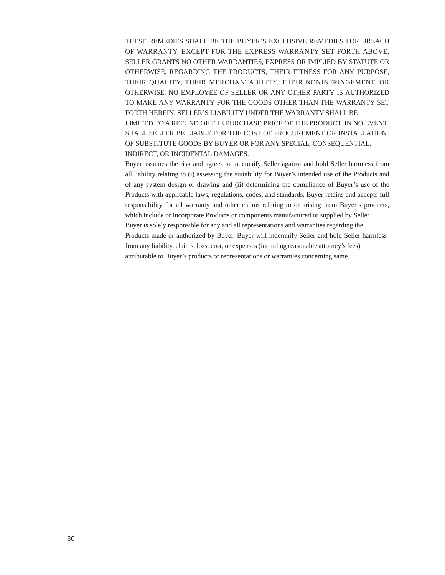THESE REMEDIES SHALL BE THE BUYER'S EXCLUSIVE REMEDIES FOR BREACH OF WARRANTY. EXCEPT FOR THE EXPRESS WARRANTY SET FORTH ABOVE, SELLER GRANTS NO OTHER WARRANTIES, EXPRESS OR IMPLIED BY STATUTE OR OTHERWISE, REGARDING THE PRODUCTS, THEIR FITNESS FOR ANY PURPOSE, THEIR QUALITY, THEIR MERCHANTABILITY, THEIR NONINFRINGEMENT, OR OTHERWISE. NO EMPLOYEE OF SELLER OR ANY OTHER PARTY IS AUTHORIZED TO MAKE ANY WARRANTY FOR THE GOODS OTHER THAN THE WARRANTY SET FORTH HEREIN. SELLER'S LIABILITY UNDER THE WARRANTY SHALL BE LIMITED TO A REFUND OF THE PURCHASE PRICE OF THE PRODUCT. IN NO EVENT SHALL SELLER BE LIABLE FOR THE COST OF PROCUREMENT OR INSTALLATION OF SUBSTITUTE GOODS BY BUYER OR FOR ANY SPECIAL, CONSEQUENTIAL, INDIRECT, OR INCIDENTAL DAMAGES.

Buyer assumes the risk and agrees to indemnify Seller against and hold Seller harmless from all liability relating to (i) assessing the suitability for Buyer's intended use of the Products and of any system design or drawing and (ii) determining the compliance of Buyer's use of the Products with applicable laws, regulations, codes, and standards. Buyer retains and accepts full responsibility for all warranty and other claims relating to or arising from Buyer's products, which include or incorporate Products or components manufactured or supplied by Seller. Buyer is solely responsible for any and all representations and warranties regarding the Products made or authorized by Buyer. Buyer will indemnify Seller and hold Seller harmless from any liability, claims, loss, cost, or expenses (including reasonable attorney's fees) attributable to Buyer's products or representations or warranties concerning same.